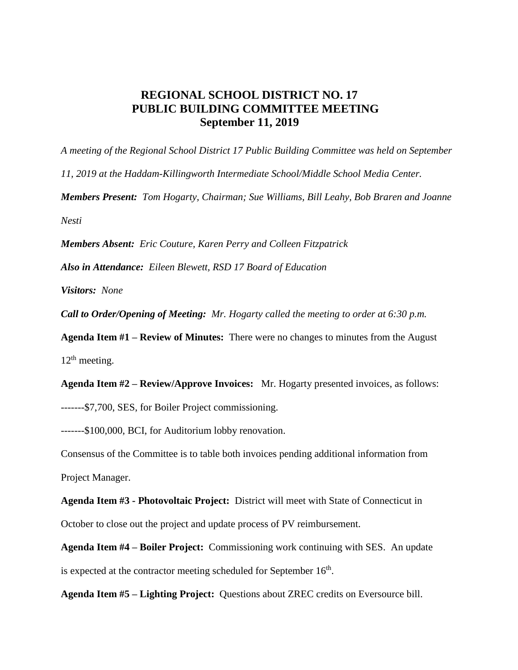## **REGIONAL SCHOOL DISTRICT NO. 17 PUBLIC BUILDING COMMITTEE MEETING September 11, 2019**

*A meeting of the Regional School District 17 Public Building Committee was held on September 11, 2019 at the Haddam-Killingworth Intermediate School/Middle School Media Center. Members Present: Tom Hogarty, Chairman; Sue Williams, Bill Leahy, Bob Braren and Joanne Nesti*

*Members Absent: Eric Couture, Karen Perry and Colleen Fitzpatrick*

*Also in Attendance: Eileen Blewett, RSD 17 Board of Education*

*Visitors: None*

*Call to Order/Opening of Meeting: Mr. Hogarty called the meeting to order at 6:30 p.m.* 

**Agenda Item #1 – Review of Minutes:** There were no changes to minutes from the August  $12<sup>th</sup>$  meeting.

**Agenda Item #2 – Review/Approve Invoices:** Mr. Hogarty presented invoices, as follows: -------\$7,700, SES, for Boiler Project commissioning.

-------\$100,000, BCI, for Auditorium lobby renovation.

Consensus of the Committee is to table both invoices pending additional information from Project Manager.

**Agenda Item #3 - Photovoltaic Project:** District will meet with State of Connecticut in October to close out the project and update process of PV reimbursement.

**Agenda Item #4 – Boiler Project:** Commissioning work continuing with SES. An update is expected at the contractor meeting scheduled for September  $16<sup>th</sup>$ .

**Agenda Item #5 – Lighting Project:** Questions about ZREC credits on Eversource bill.